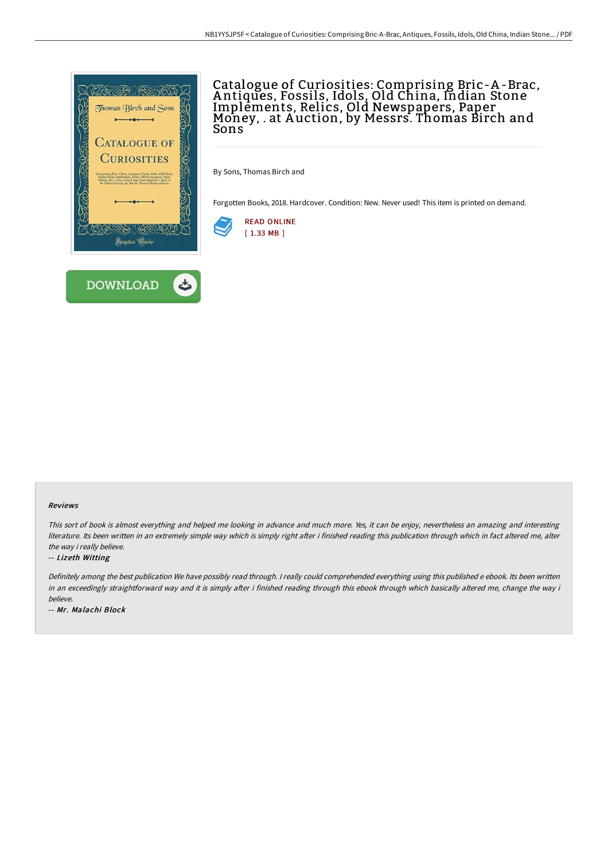

# Catalogue of Curiosities: Comprising Bric-A -Brac, A ntiques, Fossils, Idols, Old China, Indian Stone Implements, Relics, Old Newspapers, Paper Money, . at A uction, by Messrs. Thomas Birch and Sons

By Sons, Thomas Birch and

Forgotten Books, 2018. Hardcover. Condition: New. Never used! This item is printed on demand.



### Reviews

This sort of book is almost everything and helped me looking in advance and much more. Yes, it can be enjoy, nevertheless an amazing and interesting literature. Its been written in an extremely simple way which is simply right after i finished reading this publication through which in fact altered me, alter the way i really believe.

#### -- Lizeth Witting

Definitely among the best publication We have possibly read through. <sup>I</sup> really could comprehended everything using this published <sup>e</sup> ebook. Its been written in an exceedingly straightforward way and it is simply after i finished reading through this ebook through which basically altered me, change the way i believe.

-- Mr. Malachi Block